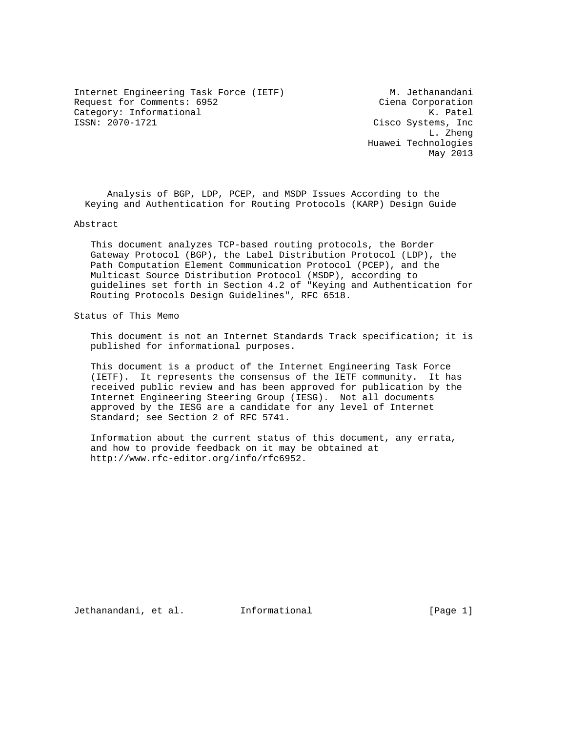Internet Engineering Task Force (IETF) M. Jethanandani<br>Request for Comments: 6952 (Ciena Corporation Request for Comments: 6952 Category: Informational and Executive Category: Informational Executive Cisco Systems, Inc.<br>ISSN: 2070-1721 cisco Systems, Inc.

Cisco Systems, Inc L. Zheng Huawei Technologies May 2013

 Analysis of BGP, LDP, PCEP, and MSDP Issues According to the Keying and Authentication for Routing Protocols (KARP) Design Guide

Abstract

 This document analyzes TCP-based routing protocols, the Border Gateway Protocol (BGP), the Label Distribution Protocol (LDP), the Path Computation Element Communication Protocol (PCEP), and the Multicast Source Distribution Protocol (MSDP), according to guidelines set forth in Section 4.2 of "Keying and Authentication for Routing Protocols Design Guidelines", RFC 6518.

Status of This Memo

 This document is not an Internet Standards Track specification; it is published for informational purposes.

 This document is a product of the Internet Engineering Task Force (IETF). It represents the consensus of the IETF community. It has received public review and has been approved for publication by the Internet Engineering Steering Group (IESG). Not all documents approved by the IESG are a candidate for any level of Internet Standard; see Section 2 of RFC 5741.

 Information about the current status of this document, any errata, and how to provide feedback on it may be obtained at http://www.rfc-editor.org/info/rfc6952.

Jethanandani, et al. Informational [Page 1]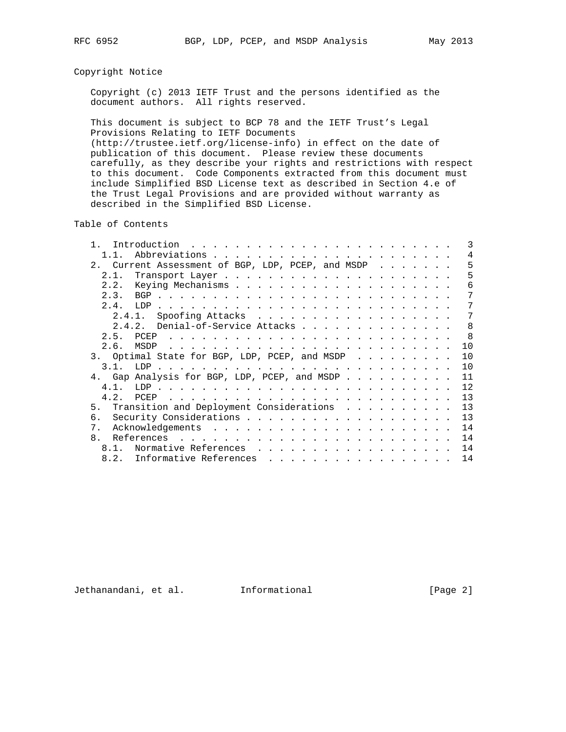# Copyright Notice

 Copyright (c) 2013 IETF Trust and the persons identified as the document authors. All rights reserved.

 This document is subject to BCP 78 and the IETF Trust's Legal Provisions Relating to IETF Documents (http://trustee.ietf.org/license-info) in effect on the date of publication of this document. Please review these documents carefully, as they describe your rights and restrictions with respect to this document. Code Components extracted from this document must include Simplified BSD License text as described in Section 4.e of the Trust Legal Provisions and are provided without warranty as described in the Simplified BSD License.

Table of Contents

|                                                                                           |  |  |  |  | 3   |
|-------------------------------------------------------------------------------------------|--|--|--|--|-----|
| 1.1.                                                                                      |  |  |  |  | 4   |
| 2. Current Assessment of BGP, LDP, PCEP, and MSDP                                         |  |  |  |  | 5   |
| 2.1.                                                                                      |  |  |  |  | 5   |
| 2.2.                                                                                      |  |  |  |  | 6   |
| 2.3.                                                                                      |  |  |  |  | 7   |
|                                                                                           |  |  |  |  | 7   |
| 2.4.1. Spoofing Attacks                                                                   |  |  |  |  | 7   |
| 2.4.2. Denial-of-Service Attacks                                                          |  |  |  |  | 8   |
| 25<br>PCEP                                                                                |  |  |  |  | - 8 |
|                                                                                           |  |  |  |  | 10  |
| 3. Optimal State for BGP, LDP, PCEP, and MSDP $\cdot \cdot \cdot \cdot \cdot \cdot \cdot$ |  |  |  |  | 10  |
|                                                                                           |  |  |  |  | 10  |
| 4. Gap Analysis for BGP, LDP, PCEP, and MSDP                                              |  |  |  |  | 11  |
| 4 1                                                                                       |  |  |  |  | 12  |
| 4 2                                                                                       |  |  |  |  | 13  |
| 5. Transition and Deployment Considerations                                               |  |  |  |  | 13  |
| б.                                                                                        |  |  |  |  | 13  |
| $7_{\odot}$                                                                               |  |  |  |  | 14  |
| 8.                                                                                        |  |  |  |  | 14  |
| Normative References<br>8.1.                                                              |  |  |  |  | 14  |
| 8.2.<br>Informative References                                                            |  |  |  |  | 14  |

Jethanandani, et al. Informational [Page 2]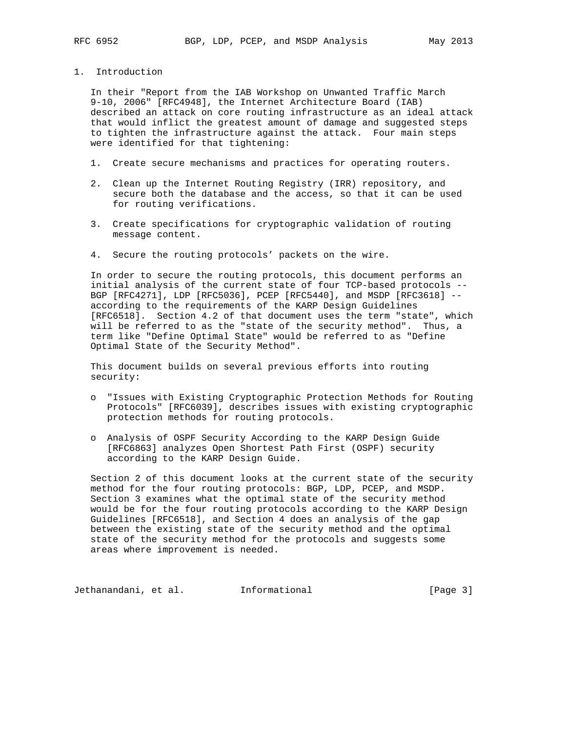1. Introduction

 In their "Report from the IAB Workshop on Unwanted Traffic March 9-10, 2006" [RFC4948], the Internet Architecture Board (IAB) described an attack on core routing infrastructure as an ideal attack that would inflict the greatest amount of damage and suggested steps to tighten the infrastructure against the attack. Four main steps were identified for that tightening:

- 1. Create secure mechanisms and practices for operating routers.
- 2. Clean up the Internet Routing Registry (IRR) repository, and secure both the database and the access, so that it can be used for routing verifications.
- 3. Create specifications for cryptographic validation of routing message content.
- 4. Secure the routing protocols' packets on the wire.

 In order to secure the routing protocols, this document performs an initial analysis of the current state of four TCP-based protocols -- BGP [RFC4271], LDP [RFC5036], PCEP [RFC5440], and MSDP [RFC3618] - according to the requirements of the KARP Design Guidelines [RFC6518]. Section 4.2 of that document uses the term "state", which will be referred to as the "state of the security method". Thus, a term like "Define Optimal State" would be referred to as "Define Optimal State of the Security Method".

 This document builds on several previous efforts into routing security:

- o "Issues with Existing Cryptographic Protection Methods for Routing Protocols" [RFC6039], describes issues with existing cryptographic protection methods for routing protocols.
- o Analysis of OSPF Security According to the KARP Design Guide [RFC6863] analyzes Open Shortest Path First (OSPF) security according to the KARP Design Guide.

 Section 2 of this document looks at the current state of the security method for the four routing protocols: BGP, LDP, PCEP, and MSDP. Section 3 examines what the optimal state of the security method would be for the four routing protocols according to the KARP Design Guidelines [RFC6518], and Section 4 does an analysis of the gap between the existing state of the security method and the optimal state of the security method for the protocols and suggests some areas where improvement is needed.

Jethanandani, et al. Informational [Page 3]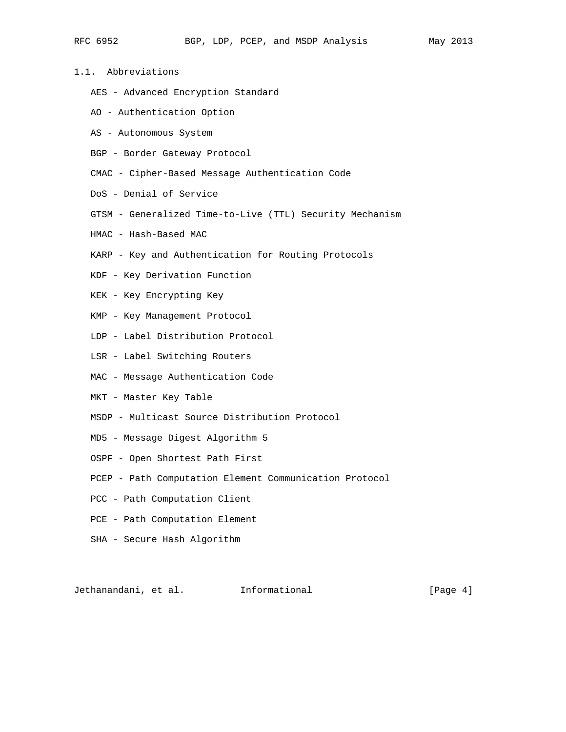- 
- 1.1. Abbreviations
	- AES Advanced Encryption Standard
	- AO Authentication Option
	- AS Autonomous System
	- BGP Border Gateway Protocol
	- CMAC Cipher-Based Message Authentication Code
	- DoS Denial of Service
	- GTSM Generalized Time-to-Live (TTL) Security Mechanism
	- HMAC Hash-Based MAC
	- KARP Key and Authentication for Routing Protocols
	- KDF Key Derivation Function
	- KEK Key Encrypting Key
	- KMP Key Management Protocol
	- LDP Label Distribution Protocol
	- LSR Label Switching Routers
	- MAC Message Authentication Code
	- MKT Master Key Table
	- MSDP Multicast Source Distribution Protocol
	- MD5 Message Digest Algorithm 5
	- OSPF Open Shortest Path First
	- PCEP Path Computation Element Communication Protocol
	- PCC Path Computation Client
	- PCE Path Computation Element
	- SHA Secure Hash Algorithm

Jethanandani, et al. 1nformational 1999 (Page 4)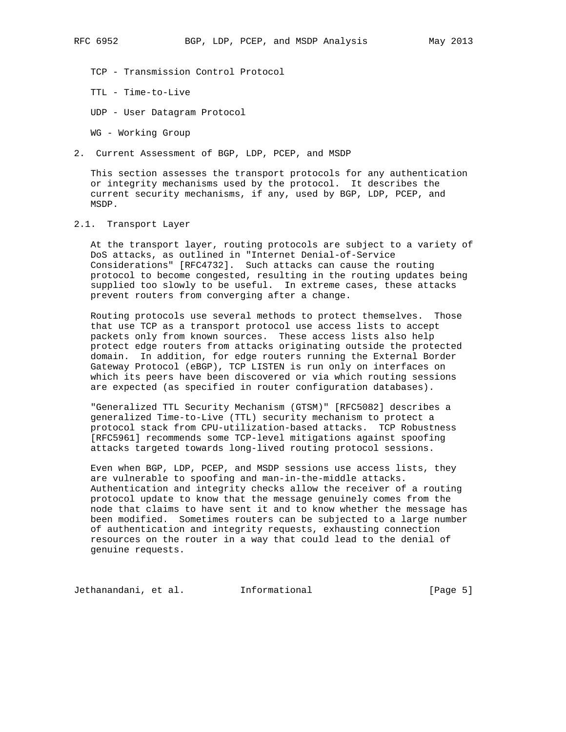TCP - Transmission Control Protocol

TTL - Time-to-Live

UDP - User Datagram Protocol

WG - Working Group

2. Current Assessment of BGP, LDP, PCEP, and MSDP

 This section assesses the transport protocols for any authentication or integrity mechanisms used by the protocol. It describes the current security mechanisms, if any, used by BGP, LDP, PCEP, and MSDP.

### 2.1. Transport Layer

 At the transport layer, routing protocols are subject to a variety of DoS attacks, as outlined in "Internet Denial-of-Service Considerations" [RFC4732]. Such attacks can cause the routing protocol to become congested, resulting in the routing updates being supplied too slowly to be useful. In extreme cases, these attacks prevent routers from converging after a change.

 Routing protocols use several methods to protect themselves. Those that use TCP as a transport protocol use access lists to accept packets only from known sources. These access lists also help protect edge routers from attacks originating outside the protected domain. In addition, for edge routers running the External Border Gateway Protocol (eBGP), TCP LISTEN is run only on interfaces on which its peers have been discovered or via which routing sessions are expected (as specified in router configuration databases).

 "Generalized TTL Security Mechanism (GTSM)" [RFC5082] describes a generalized Time-to-Live (TTL) security mechanism to protect a protocol stack from CPU-utilization-based attacks. TCP Robustness [RFC5961] recommends some TCP-level mitigations against spoofing attacks targeted towards long-lived routing protocol sessions.

 Even when BGP, LDP, PCEP, and MSDP sessions use access lists, they are vulnerable to spoofing and man-in-the-middle attacks. Authentication and integrity checks allow the receiver of a routing protocol update to know that the message genuinely comes from the node that claims to have sent it and to know whether the message has been modified. Sometimes routers can be subjected to a large number of authentication and integrity requests, exhausting connection resources on the router in a way that could lead to the denial of genuine requests.

Jethanandani, et al. Informational [Page 5]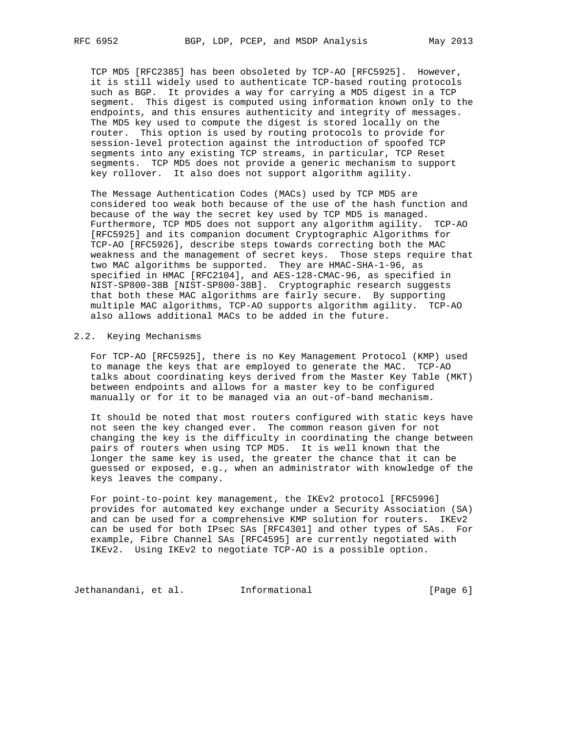TCP MD5 [RFC2385] has been obsoleted by TCP-AO [RFC5925]. However, it is still widely used to authenticate TCP-based routing protocols such as BGP. It provides a way for carrying a MD5 digest in a TCP segment. This digest is computed using information known only to the endpoints, and this ensures authenticity and integrity of messages. The MD5 key used to compute the digest is stored locally on the router. This option is used by routing protocols to provide for session-level protection against the introduction of spoofed TCP segments into any existing TCP streams, in particular, TCP Reset segments. TCP MD5 does not provide a generic mechanism to support key rollover. It also does not support algorithm agility.

 The Message Authentication Codes (MACs) used by TCP MD5 are considered too weak both because of the use of the hash function and because of the way the secret key used by TCP MD5 is managed. Furthermore, TCP MD5 does not support any algorithm agility. TCP-AO [RFC5925] and its companion document Cryptographic Algorithms for TCP-AO [RFC5926], describe steps towards correcting both the MAC weakness and the management of secret keys. Those steps require that two MAC algorithms be supported. They are HMAC-SHA-1-96, as specified in HMAC [RFC2104], and AES-128-CMAC-96, as specified in NIST-SP800-38B [NIST-SP800-38B]. Cryptographic research suggests that both these MAC algorithms are fairly secure. By supporting multiple MAC algorithms, TCP-AO supports algorithm agility. TCP-AO also allows additional MACs to be added in the future.

#### 2.2. Keying Mechanisms

 For TCP-AO [RFC5925], there is no Key Management Protocol (KMP) used to manage the keys that are employed to generate the MAC. TCP-AO talks about coordinating keys derived from the Master Key Table (MKT) between endpoints and allows for a master key to be configured manually or for it to be managed via an out-of-band mechanism.

 It should be noted that most routers configured with static keys have not seen the key changed ever. The common reason given for not changing the key is the difficulty in coordinating the change between pairs of routers when using TCP MD5. It is well known that the longer the same key is used, the greater the chance that it can be guessed or exposed, e.g., when an administrator with knowledge of the keys leaves the company.

 For point-to-point key management, the IKEv2 protocol [RFC5996] provides for automated key exchange under a Security Association (SA) and can be used for a comprehensive KMP solution for routers. IKEv2 can be used for both IPsec SAs [RFC4301] and other types of SAs. For example, Fibre Channel SAs [RFC4595] are currently negotiated with IKEv2. Using IKEv2 to negotiate TCP-AO is a possible option.

Jethanandani, et al. 1nformational (Page 6)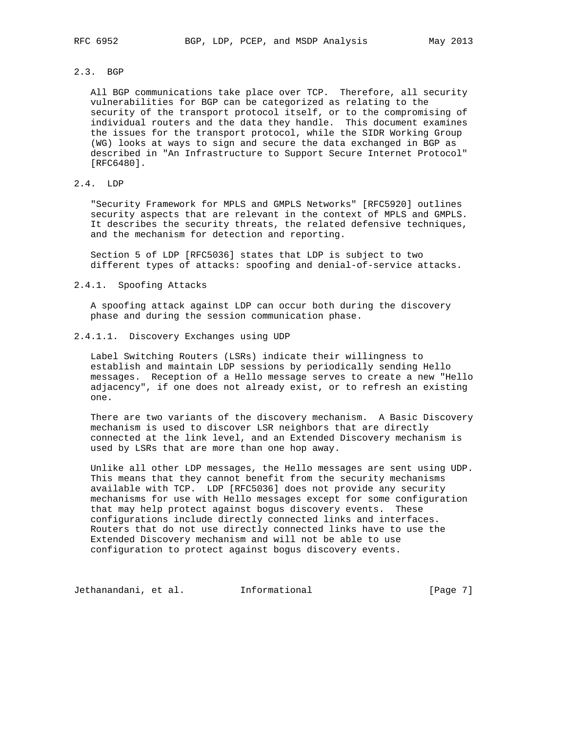# 2.3. BGP

 All BGP communications take place over TCP. Therefore, all security vulnerabilities for BGP can be categorized as relating to the security of the transport protocol itself, or to the compromising of individual routers and the data they handle. This document examines the issues for the transport protocol, while the SIDR Working Group (WG) looks at ways to sign and secure the data exchanged in BGP as described in "An Infrastructure to Support Secure Internet Protocol" [RFC6480].

# 2.4. LDP

 "Security Framework for MPLS and GMPLS Networks" [RFC5920] outlines security aspects that are relevant in the context of MPLS and GMPLS. It describes the security threats, the related defensive techniques, and the mechanism for detection and reporting.

 Section 5 of LDP [RFC5036] states that LDP is subject to two different types of attacks: spoofing and denial-of-service attacks.

### 2.4.1. Spoofing Attacks

 A spoofing attack against LDP can occur both during the discovery phase and during the session communication phase.

2.4.1.1. Discovery Exchanges using UDP

 Label Switching Routers (LSRs) indicate their willingness to establish and maintain LDP sessions by periodically sending Hello messages. Reception of a Hello message serves to create a new "Hello adjacency", if one does not already exist, or to refresh an existing one.

 There are two variants of the discovery mechanism. A Basic Discovery mechanism is used to discover LSR neighbors that are directly connected at the link level, and an Extended Discovery mechanism is used by LSRs that are more than one hop away.

 Unlike all other LDP messages, the Hello messages are sent using UDP. This means that they cannot benefit from the security mechanisms available with TCP. LDP [RFC5036] does not provide any security mechanisms for use with Hello messages except for some configuration that may help protect against bogus discovery events. These configurations include directly connected links and interfaces. Routers that do not use directly connected links have to use the Extended Discovery mechanism and will not be able to use configuration to protect against bogus discovery events.

Jethanandani, et al. Informational [Page 7]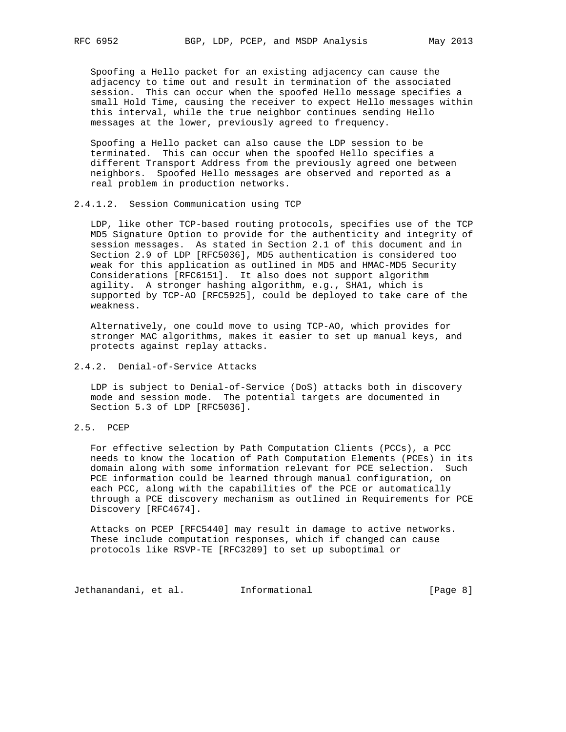Spoofing a Hello packet for an existing adjacency can cause the adjacency to time out and result in termination of the associated session. This can occur when the spoofed Hello message specifies a small Hold Time, causing the receiver to expect Hello messages within this interval, while the true neighbor continues sending Hello messages at the lower, previously agreed to frequency.

 Spoofing a Hello packet can also cause the LDP session to be terminated. This can occur when the spoofed Hello specifies a different Transport Address from the previously agreed one between neighbors. Spoofed Hello messages are observed and reported as a real problem in production networks.

### 2.4.1.2. Session Communication using TCP

 LDP, like other TCP-based routing protocols, specifies use of the TCP MD5 Signature Option to provide for the authenticity and integrity of session messages. As stated in Section 2.1 of this document and in Section 2.9 of LDP [RFC5036], MD5 authentication is considered too weak for this application as outlined in MD5 and HMAC-MD5 Security Considerations [RFC6151]. It also does not support algorithm agility. A stronger hashing algorithm, e.g., SHA1, which is supported by TCP-AO [RFC5925], could be deployed to take care of the weakness.

 Alternatively, one could move to using TCP-AO, which provides for stronger MAC algorithms, makes it easier to set up manual keys, and protects against replay attacks.

# 2.4.2. Denial-of-Service Attacks

 LDP is subject to Denial-of-Service (DoS) attacks both in discovery mode and session mode. The potential targets are documented in Section 5.3 of LDP [RFC5036].

### 2.5. PCEP

 For effective selection by Path Computation Clients (PCCs), a PCC needs to know the location of Path Computation Elements (PCEs) in its domain along with some information relevant for PCE selection. Such PCE information could be learned through manual configuration, on each PCC, along with the capabilities of the PCE or automatically through a PCE discovery mechanism as outlined in Requirements for PCE Discovery [RFC4674].

 Attacks on PCEP [RFC5440] may result in damage to active networks. These include computation responses, which if changed can cause protocols like RSVP-TE [RFC3209] to set up suboptimal or

Jethanandani, et al. 1nformational 1999 [Page 8]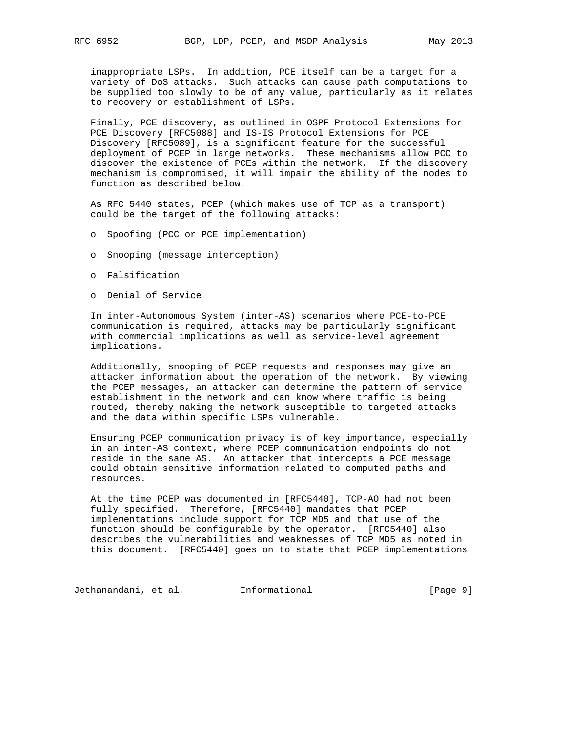inappropriate LSPs. In addition, PCE itself can be a target for a variety of DoS attacks. Such attacks can cause path computations to be supplied too slowly to be of any value, particularly as it relates to recovery or establishment of LSPs.

 Finally, PCE discovery, as outlined in OSPF Protocol Extensions for PCE Discovery [RFC5088] and IS-IS Protocol Extensions for PCE Discovery [RFC5089], is a significant feature for the successful deployment of PCEP in large networks. These mechanisms allow PCC to discover the existence of PCEs within the network. If the discovery mechanism is compromised, it will impair the ability of the nodes to function as described below.

 As RFC 5440 states, PCEP (which makes use of TCP as a transport) could be the target of the following attacks:

- o Spoofing (PCC or PCE implementation)
- o Snooping (message interception)
- o Falsification
- o Denial of Service

 In inter-Autonomous System (inter-AS) scenarios where PCE-to-PCE communication is required, attacks may be particularly significant with commercial implications as well as service-level agreement implications.

 Additionally, snooping of PCEP requests and responses may give an attacker information about the operation of the network. By viewing the PCEP messages, an attacker can determine the pattern of service establishment in the network and can know where traffic is being routed, thereby making the network susceptible to targeted attacks and the data within specific LSPs vulnerable.

 Ensuring PCEP communication privacy is of key importance, especially in an inter-AS context, where PCEP communication endpoints do not reside in the same AS. An attacker that intercepts a PCE message could obtain sensitive information related to computed paths and resources.

 At the time PCEP was documented in [RFC5440], TCP-AO had not been fully specified. Therefore, [RFC5440] mandates that PCEP implementations include support for TCP MD5 and that use of the function should be configurable by the operator. [RFC5440] also describes the vulnerabilities and weaknesses of TCP MD5 as noted in this document. [RFC5440] goes on to state that PCEP implementations

Jethanandani, et al. 1nformational 1999 [Page 9]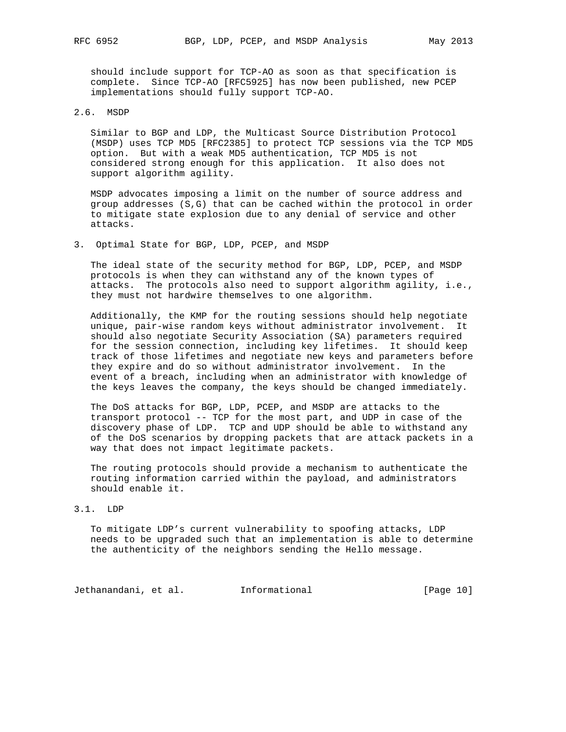should include support for TCP-AO as soon as that specification is complete. Since TCP-AO [RFC5925] has now been published, new PCEP

implementations should fully support TCP-AO.

### 2.6. MSDP

 Similar to BGP and LDP, the Multicast Source Distribution Protocol (MSDP) uses TCP MD5 [RFC2385] to protect TCP sessions via the TCP MD5 option. But with a weak MD5 authentication, TCP MD5 is not considered strong enough for this application. It also does not support algorithm agility.

 MSDP advocates imposing a limit on the number of source address and group addresses (S,G) that can be cached within the protocol in order to mitigate state explosion due to any denial of service and other attacks.

3. Optimal State for BGP, LDP, PCEP, and MSDP

 The ideal state of the security method for BGP, LDP, PCEP, and MSDP protocols is when they can withstand any of the known types of attacks. The protocols also need to support algorithm agility, i.e., they must not hardwire themselves to one algorithm.

 Additionally, the KMP for the routing sessions should help negotiate unique, pair-wise random keys without administrator involvement. It should also negotiate Security Association (SA) parameters required for the session connection, including key lifetimes. It should keep track of those lifetimes and negotiate new keys and parameters before they expire and do so without administrator involvement. In the event of a breach, including when an administrator with knowledge of the keys leaves the company, the keys should be changed immediately.

 The DoS attacks for BGP, LDP, PCEP, and MSDP are attacks to the transport protocol -- TCP for the most part, and UDP in case of the discovery phase of LDP. TCP and UDP should be able to withstand any of the DoS scenarios by dropping packets that are attack packets in a way that does not impact legitimate packets.

 The routing protocols should provide a mechanism to authenticate the routing information carried within the payload, and administrators should enable it.

### 3.1. LDP

 To mitigate LDP's current vulnerability to spoofing attacks, LDP needs to be upgraded such that an implementation is able to determine the authenticity of the neighbors sending the Hello message.

Jethanandani, et al. 1nformational [Page 10]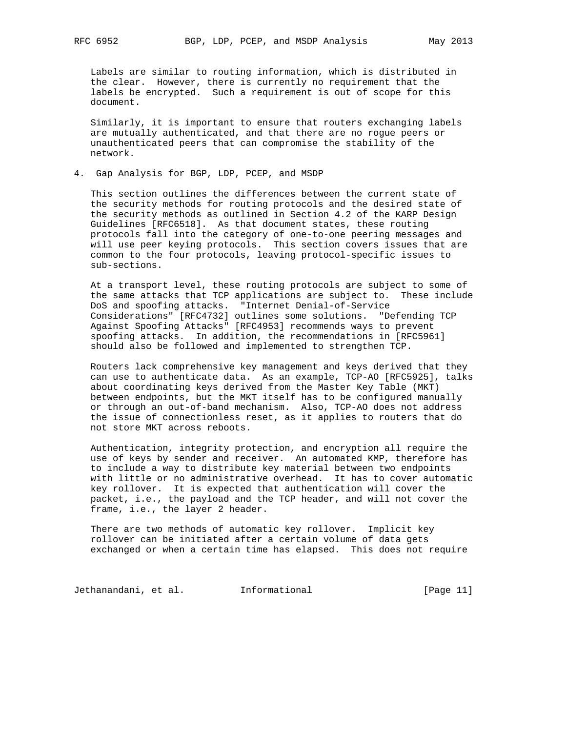Labels are similar to routing information, which is distributed in the clear. However, there is currently no requirement that the labels be encrypted. Such a requirement is out of scope for this document.

 Similarly, it is important to ensure that routers exchanging labels are mutually authenticated, and that there are no rogue peers or unauthenticated peers that can compromise the stability of the network.

4. Gap Analysis for BGP, LDP, PCEP, and MSDP

 This section outlines the differences between the current state of the security methods for routing protocols and the desired state of the security methods as outlined in Section 4.2 of the KARP Design Guidelines [RFC6518]. As that document states, these routing protocols fall into the category of one-to-one peering messages and will use peer keying protocols. This section covers issues that are common to the four protocols, leaving protocol-specific issues to sub-sections.

 At a transport level, these routing protocols are subject to some of the same attacks that TCP applications are subject to. These include DoS and spoofing attacks. "Internet Denial-of-Service Considerations" [RFC4732] outlines some solutions. "Defending TCP Against Spoofing Attacks" [RFC4953] recommends ways to prevent spoofing attacks. In addition, the recommendations in [RFC5961] should also be followed and implemented to strengthen TCP.

 Routers lack comprehensive key management and keys derived that they can use to authenticate data. As an example, TCP-AO [RFC5925], talks about coordinating keys derived from the Master Key Table (MKT) between endpoints, but the MKT itself has to be configured manually or through an out-of-band mechanism. Also, TCP-AO does not address the issue of connectionless reset, as it applies to routers that do not store MKT across reboots.

 Authentication, integrity protection, and encryption all require the use of keys by sender and receiver. An automated KMP, therefore has to include a way to distribute key material between two endpoints with little or no administrative overhead. It has to cover automatic key rollover. It is expected that authentication will cover the packet, i.e., the payload and the TCP header, and will not cover the frame, i.e., the layer 2 header.

 There are two methods of automatic key rollover. Implicit key rollover can be initiated after a certain volume of data gets exchanged or when a certain time has elapsed. This does not require

Jethanandani, et al. Informational [Page 11]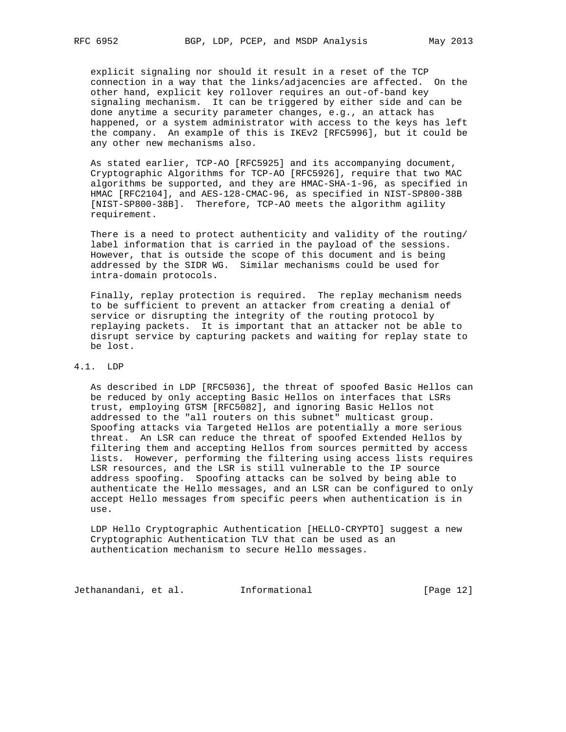explicit signaling nor should it result in a reset of the TCP connection in a way that the links/adjacencies are affected. On the other hand, explicit key rollover requires an out-of-band key signaling mechanism. It can be triggered by either side and can be done anytime a security parameter changes, e.g., an attack has happened, or a system administrator with access to the keys has left the company. An example of this is IKEv2 [RFC5996], but it could be any other new mechanisms also.

 As stated earlier, TCP-AO [RFC5925] and its accompanying document, Cryptographic Algorithms for TCP-AO [RFC5926], require that two MAC algorithms be supported, and they are HMAC-SHA-1-96, as specified in HMAC [RFC2104], and AES-128-CMAC-96, as specified in NIST-SP800-38B [NIST-SP800-38B]. Therefore, TCP-AO meets the algorithm agility requirement.

 There is a need to protect authenticity and validity of the routing/ label information that is carried in the payload of the sessions. However, that is outside the scope of this document and is being addressed by the SIDR WG. Similar mechanisms could be used for intra-domain protocols.

 Finally, replay protection is required. The replay mechanism needs to be sufficient to prevent an attacker from creating a denial of service or disrupting the integrity of the routing protocol by replaying packets. It is important that an attacker not be able to disrupt service by capturing packets and waiting for replay state to be lost.

# 4.1. LDP

 As described in LDP [RFC5036], the threat of spoofed Basic Hellos can be reduced by only accepting Basic Hellos on interfaces that LSRs trust, employing GTSM [RFC5082], and ignoring Basic Hellos not addressed to the "all routers on this subnet" multicast group. Spoofing attacks via Targeted Hellos are potentially a more serious threat. An LSR can reduce the threat of spoofed Extended Hellos by filtering them and accepting Hellos from sources permitted by access lists. However, performing the filtering using access lists requires LSR resources, and the LSR is still vulnerable to the IP source address spoofing. Spoofing attacks can be solved by being able to authenticate the Hello messages, and an LSR can be configured to only accept Hello messages from specific peers when authentication is in use.

 LDP Hello Cryptographic Authentication [HELLO-CRYPTO] suggest a new Cryptographic Authentication TLV that can be used as an authentication mechanism to secure Hello messages.

Jethanandani, et al. 1nformational 1999 [Page 12]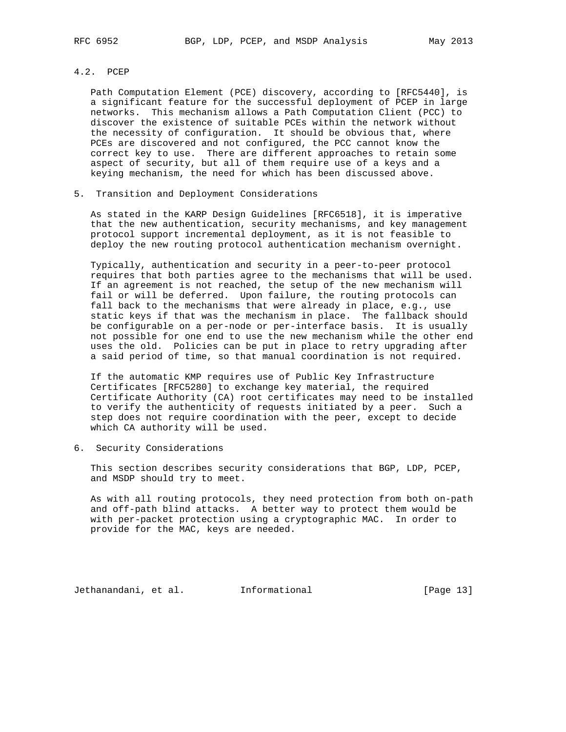# 4.2. PCEP

 Path Computation Element (PCE) discovery, according to [RFC5440], is a significant feature for the successful deployment of PCEP in large networks. This mechanism allows a Path Computation Client (PCC) to discover the existence of suitable PCEs within the network without the necessity of configuration. It should be obvious that, where PCEs are discovered and not configured, the PCC cannot know the correct key to use. There are different approaches to retain some aspect of security, but all of them require use of a keys and a keying mechanism, the need for which has been discussed above.

5. Transition and Deployment Considerations

 As stated in the KARP Design Guidelines [RFC6518], it is imperative that the new authentication, security mechanisms, and key management protocol support incremental deployment, as it is not feasible to deploy the new routing protocol authentication mechanism overnight.

 Typically, authentication and security in a peer-to-peer protocol requires that both parties agree to the mechanisms that will be used. If an agreement is not reached, the setup of the new mechanism will fail or will be deferred. Upon failure, the routing protocols can fall back to the mechanisms that were already in place, e.g., use static keys if that was the mechanism in place. The fallback should be configurable on a per-node or per-interface basis. It is usually not possible for one end to use the new mechanism while the other end uses the old. Policies can be put in place to retry upgrading after a said period of time, so that manual coordination is not required.

 If the automatic KMP requires use of Public Key Infrastructure Certificates [RFC5280] to exchange key material, the required Certificate Authority (CA) root certificates may need to be installed to verify the authenticity of requests initiated by a peer. Such a step does not require coordination with the peer, except to decide which CA authority will be used.

6. Security Considerations

 This section describes security considerations that BGP, LDP, PCEP, and MSDP should try to meet.

 As with all routing protocols, they need protection from both on-path and off-path blind attacks. A better way to protect them would be with per-packet protection using a cryptographic MAC. In order to provide for the MAC, keys are needed.

Jethanandani, et al. Informational [Page 13]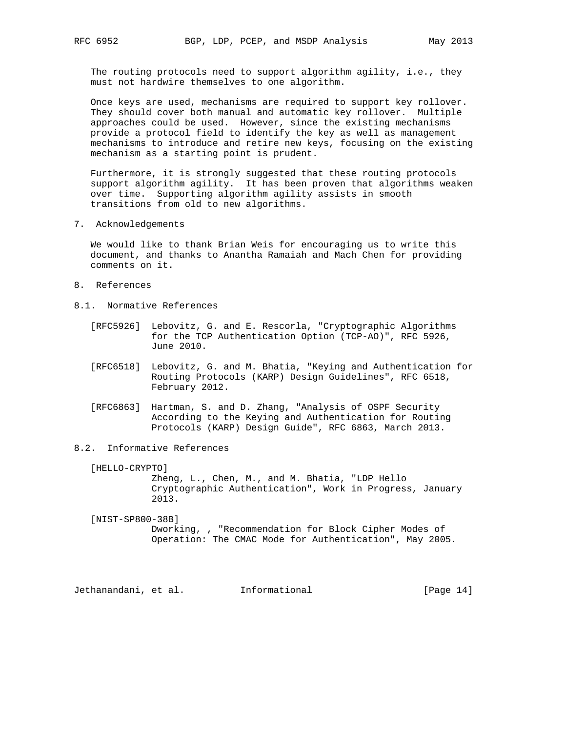The routing protocols need to support algorithm agility, i.e., they must not hardwire themselves to one algorithm.

 Once keys are used, mechanisms are required to support key rollover. They should cover both manual and automatic key rollover. Multiple approaches could be used. However, since the existing mechanisms provide a protocol field to identify the key as well as management mechanisms to introduce and retire new keys, focusing on the existing mechanism as a starting point is prudent.

 Furthermore, it is strongly suggested that these routing protocols support algorithm agility. It has been proven that algorithms weaken over time. Supporting algorithm agility assists in smooth transitions from old to new algorithms.

7. Acknowledgements

 We would like to thank Brian Weis for encouraging us to write this document, and thanks to Anantha Ramaiah and Mach Chen for providing comments on it.

- 8. References
- 8.1. Normative References
	- [RFC5926] Lebovitz, G. and E. Rescorla, "Cryptographic Algorithms for the TCP Authentication Option (TCP-AO)", RFC 5926, June 2010.
	- [RFC6518] Lebovitz, G. and M. Bhatia, "Keying and Authentication for Routing Protocols (KARP) Design Guidelines", RFC 6518, February 2012.
	- [RFC6863] Hartman, S. and D. Zhang, "Analysis of OSPF Security According to the Keying and Authentication for Routing Protocols (KARP) Design Guide", RFC 6863, March 2013.

### 8.2. Informative References

[HELLO-CRYPTO]

 Zheng, L., Chen, M., and M. Bhatia, "LDP Hello Cryptographic Authentication", Work in Progress, January 2013.

 [NIST-SP800-38B] Dworking, , "Recommendation for Block Cipher Modes of Operation: The CMAC Mode for Authentication", May 2005.

Jethanandani, et al. Informational [Page 14]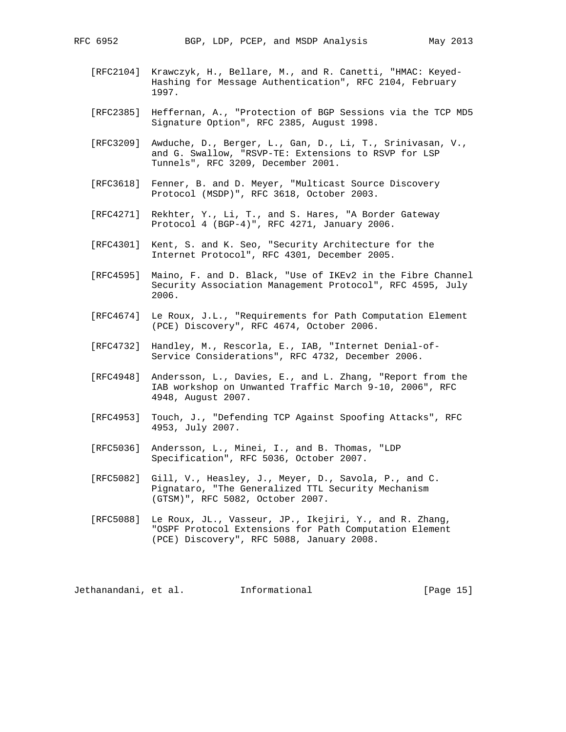- [RFC2104] Krawczyk, H., Bellare, M., and R. Canetti, "HMAC: Keyed- Hashing for Message Authentication", RFC 2104, February 1997.
- [RFC2385] Heffernan, A., "Protection of BGP Sessions via the TCP MD5 Signature Option", RFC 2385, August 1998.
- [RFC3209] Awduche, D., Berger, L., Gan, D., Li, T., Srinivasan, V., and G. Swallow, "RSVP-TE: Extensions to RSVP for LSP Tunnels", RFC 3209, December 2001.
- [RFC3618] Fenner, B. and D. Meyer, "Multicast Source Discovery Protocol (MSDP)", RFC 3618, October 2003.
- [RFC4271] Rekhter, Y., Li, T., and S. Hares, "A Border Gateway Protocol 4 (BGP-4)", RFC 4271, January 2006.
- [RFC4301] Kent, S. and K. Seo, "Security Architecture for the Internet Protocol", RFC 4301, December 2005.
- [RFC4595] Maino, F. and D. Black, "Use of IKEv2 in the Fibre Channel Security Association Management Protocol", RFC 4595, July 2006.
- [RFC4674] Le Roux, J.L., "Requirements for Path Computation Element (PCE) Discovery", RFC 4674, October 2006.
- [RFC4732] Handley, M., Rescorla, E., IAB, "Internet Denial-of- Service Considerations", RFC 4732, December 2006.
- [RFC4948] Andersson, L., Davies, E., and L. Zhang, "Report from the IAB workshop on Unwanted Traffic March 9-10, 2006", RFC 4948, August 2007.
- [RFC4953] Touch, J., "Defending TCP Against Spoofing Attacks", RFC 4953, July 2007.
- [RFC5036] Andersson, L., Minei, I., and B. Thomas, "LDP Specification", RFC 5036, October 2007.
- [RFC5082] Gill, V., Heasley, J., Meyer, D., Savola, P., and C. Pignataro, "The Generalized TTL Security Mechanism (GTSM)", RFC 5082, October 2007.
- [RFC5088] Le Roux, JL., Vasseur, JP., Ikejiri, Y., and R. Zhang, "OSPF Protocol Extensions for Path Computation Element (PCE) Discovery", RFC 5088, January 2008.

Jethanandani, et al. 1nformational 1999 [Page 15]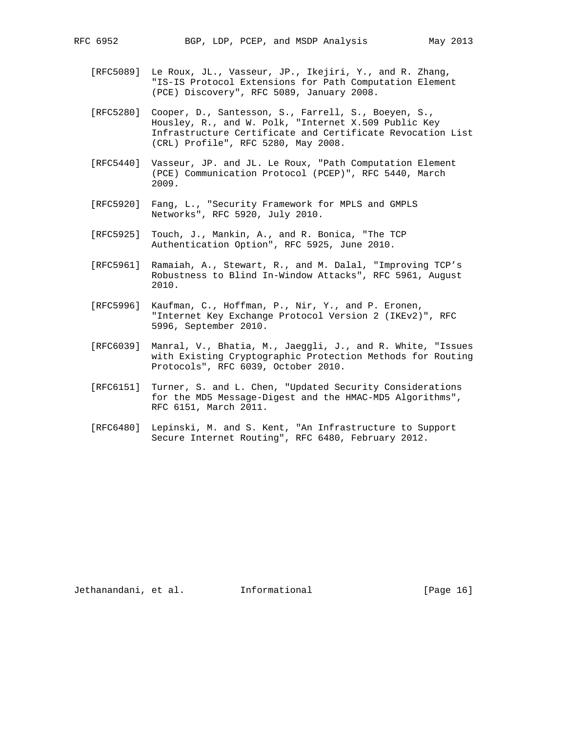- 
- [RFC5089] Le Roux, JL., Vasseur, JP., Ikejiri, Y., and R. Zhang, "IS-IS Protocol Extensions for Path Computation Element (PCE) Discovery", RFC 5089, January 2008.
- [RFC5280] Cooper, D., Santesson, S., Farrell, S., Boeyen, S., Housley, R., and W. Polk, "Internet X.509 Public Key Infrastructure Certificate and Certificate Revocation List (CRL) Profile", RFC 5280, May 2008.
- [RFC5440] Vasseur, JP. and JL. Le Roux, "Path Computation Element (PCE) Communication Protocol (PCEP)", RFC 5440, March 2009.
- [RFC5920] Fang, L., "Security Framework for MPLS and GMPLS Networks", RFC 5920, July 2010.
	- [RFC5925] Touch, J., Mankin, A., and R. Bonica, "The TCP Authentication Option", RFC 5925, June 2010.
	- [RFC5961] Ramaiah, A., Stewart, R., and M. Dalal, "Improving TCP's Robustness to Blind In-Window Attacks", RFC 5961, August 2010.
	- [RFC5996] Kaufman, C., Hoffman, P., Nir, Y., and P. Eronen, "Internet Key Exchange Protocol Version 2 (IKEv2)", RFC 5996, September 2010.
	- [RFC6039] Manral, V., Bhatia, M., Jaeggli, J., and R. White, "Issues with Existing Cryptographic Protection Methods for Routing Protocols", RFC 6039, October 2010.
	- [RFC6151] Turner, S. and L. Chen, "Updated Security Considerations for the MD5 Message-Digest and the HMAC-MD5 Algorithms", RFC 6151, March 2011.
	- [RFC6480] Lepinski, M. and S. Kent, "An Infrastructure to Support Secure Internet Routing", RFC 6480, February 2012.

Jethanandani, et al. 1nformational 1999 [Page 16]